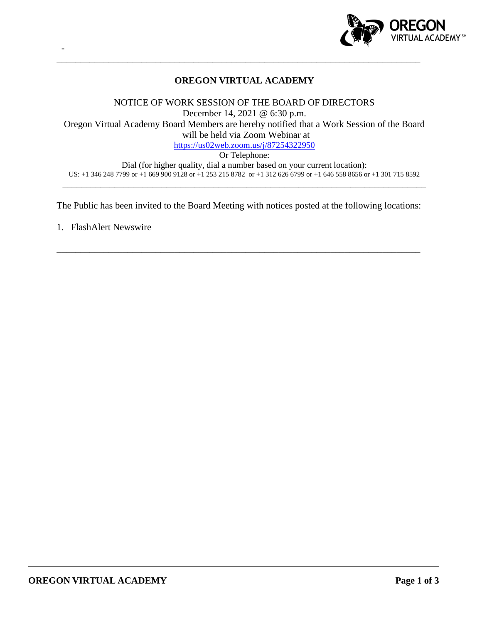

# **OREGON VIRTUAL ACADEMY**

\_\_\_\_\_\_\_\_\_\_\_\_\_\_\_\_\_\_\_\_\_\_\_\_\_\_\_\_\_\_\_\_\_\_\_\_\_\_\_\_\_\_\_\_\_\_\_\_\_\_\_\_\_\_\_\_\_\_\_\_\_\_\_\_\_\_\_\_\_\_\_\_\_\_\_\_\_

NOTICE OF WORK SESSION OF THE BOARD OF DIRECTORS December 14, 2021 @ 6:30 p.m. Oregon Virtual Academy Board Members are hereby notified that a Work Session of the Board will be held via Zoom Webinar at <https://us02web.zoom.us/j/87254322950> Or Telephone:

Dial (for higher quality, dial a number based on your current location): US: +1 346 248 7799 or +1 669 900 9128 or +1 253 215 8782 or +1 312 626 6799 or +1 646 558 8656 or +1 301 715 8592 \_\_\_\_\_\_\_\_\_\_\_\_\_\_\_\_\_\_\_\_\_\_\_\_\_\_\_\_\_\_\_\_\_\_\_\_\_\_\_\_\_\_\_\_\_\_\_\_\_\_\_\_\_\_\_\_\_\_\_\_\_\_\_\_\_\_\_\_\_\_\_\_\_\_\_\_\_

The Public has been invited to the Board Meeting with notices posted at the following locations:

\_\_\_\_\_\_\_\_\_\_\_\_\_\_\_\_\_\_\_\_\_\_\_\_\_\_\_\_\_\_\_\_\_\_\_\_\_\_\_\_\_\_\_\_\_\_\_\_\_\_\_\_\_\_\_\_\_\_\_\_\_\_\_\_\_\_\_\_\_\_\_\_\_\_\_\_\_

1. FlashAlert Newswire

-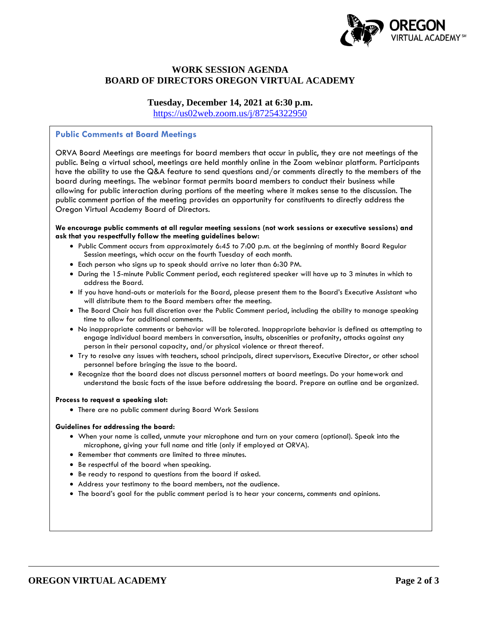

# **WORK SESSION AGENDA BOARD OF DIRECTORS OREGON VIRTUAL ACADEMY**

**Tuesday, December 14, 2021 at 6:30 p.m.**

<https://us02web.zoom.us/j/87254322950>

### **Public Comments at Board Meetings**

ORVA Board Meetings are meetings for board members that occur in public, they are not meetings of the public. Being a virtual school, meetings are held monthly online in the Zoom webinar platform. Participants have the ability to use the Q&A feature to send questions and/or comments directly to the members of the board during meetings. The webinar format permits board members to conduct their business while allowing for public interaction during portions of the meeting where it makes sense to the discussion. The public comment portion of the meeting provides an opportunity for constituents to directly address the Oregon Virtual Academy Board of Directors.

#### **We encourage public comments at all regular meeting sessions (not work sessions or executive sessions) and ask that you respectfully follow the meeting guidelines below:**

- Public Comment occurs from approximately 6:45 to 7:00 p.m. at the beginning of monthly Board Regular Session meetings, which occur on the fourth Tuesday of each month.
- Each person who signs up to speak should arrive no later than 6:30 PM.
- During the 15-minute Public Comment period, each registered speaker will have up to 3 minutes in which to address the Board.
- If you have hand-outs or materials for the Board, please present them to the Board's Executive Assistant who will distribute them to the Board members after the meeting.
- The Board Chair has full discretion over the Public Comment period, including the ability to manage speaking time to allow for additional comments.
- No inappropriate comments or behavior will be tolerated. Inappropriate behavior is defined as attempting to engage individual board members in conversation, insults, obscenities or profanity, attacks against any person in their personal capacity, and/or physical violence or threat thereof.
- Try to resolve any issues with teachers, school principals, direct supervisors, Executive Director, or other school personnel before bringing the issue to the board.
- Recognize that the board does not discuss personnel matters at board meetings. Do your homework and understand the basic facts of the issue before addressing the board. Prepare an outline and be organized.

#### **Process to request a speaking slot:**

• There are no public comment during Board Work Sessions

#### **Guidelines for addressing the board:**

- When your name is called, unmute your microphone and turn on your camera (optional). Speak into the microphone, giving your full name and title (only if employed at ORVA).
- Remember that comments are limited to three minutes.
- Be respectful of the board when speaking.
- Be ready to respond to questions from the board if asked.
- Address your testimony to the board members, not the audience.
- The board's goal for the public comment period is to hear your concerns, comments and opinions.